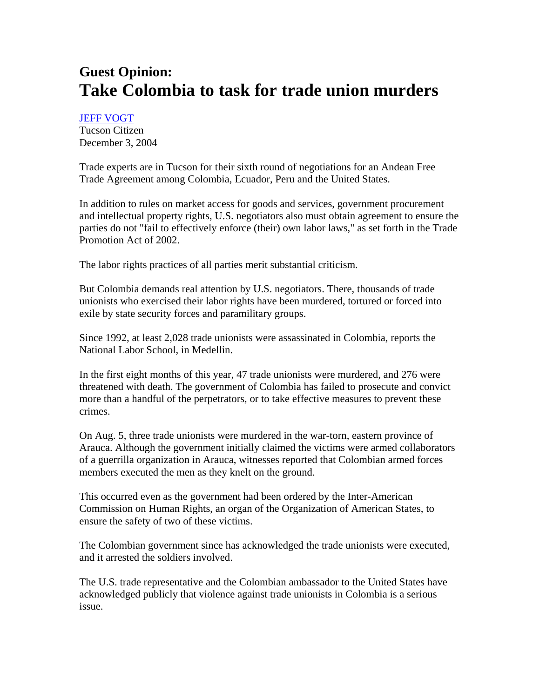## **Guest Opinion: Take Colombia to task for trade union murders**

JEFF VOGT

Tucson Citizen December 3, 2004

Trade experts are in Tucson for their sixth round of negotiations for an Andean Free Trade Agreement among Colombia, Ecuador, Peru and the United States.

In addition to rules on market access for goods and services, government procurement and intellectual property rights, U.S. negotiators also must obtain agreement to ensure the parties do not "fail to effectively enforce (their) own labor laws," as set forth in the Trade Promotion Act of 2002.

The labor rights practices of all parties merit substantial criticism.

But Colombia demands real attention by U.S. negotiators. There, thousands of trade unionists who exercised their labor rights have been murdered, tortured or forced into exile by state security forces and paramilitary groups.

Since 1992, at least 2,028 trade unionists were assassinated in Colombia, reports the National Labor School, in Medellin.

In the first eight months of this year, 47 trade unionists were murdered, and 276 were threatened with death. The government of Colombia has failed to prosecute and convict more than a handful of the perpetrators, or to take effective measures to prevent these crimes.

On Aug. 5, three trade unionists were murdered in the war-torn, eastern province of Arauca. Although the government initially claimed the victims were armed collaborators of a guerrilla organization in Arauca, witnesses reported that Colombian armed forces members executed the men as they knelt on the ground.

This occurred even as the government had been ordered by the Inter-American Commission on Human Rights, an organ of the Organization of American States, to ensure the safety of two of these victims.

The Colombian government since has acknowledged the trade unionists were executed, and it arrested the soldiers involved.

The U.S. trade representative and the Colombian ambassador to the United States have acknowledged publicly that violence against trade unionists in Colombia is a serious issue.